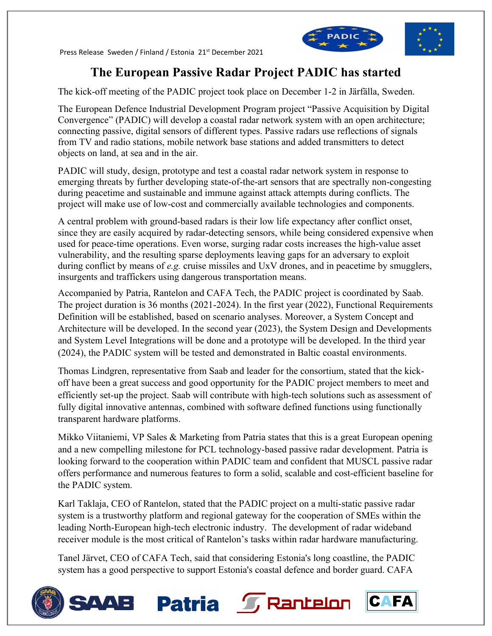Press Release Sweden / Finland / Estonia 21st December 2021



# **The European Passive Radar Project PADIC has started**

The kick-off meeting of the PADIC project took place on December 1-2 in Järfälla, Sweden.

The European Defence Industrial Development Program project "Passive Acquisition by Digital Convergence" (PADIC) will develop a coastal radar network system with an open architecture; connecting passive, digital sensors of different types. Passive radars use reflections of signals from TV and radio stations, mobile network base stations and added transmitters to detect objects on land, at sea and in the air.

PADIC will study, design, prototype and test a coastal radar network system in response to emerging threats by further developing state-of-the-art sensors that are spectrally non-congesting during peacetime and sustainable and immune against attack attempts during conflicts. The project will make use of low-cost and commercially available technologies and components.

A central problem with ground-based radars is their low life expectancy after conflict onset, since they are easily acquired by radar-detecting sensors, while being considered expensive when used for peace-time operations. Even worse, surging radar costs increases the high-value asset vulnerability, and the resulting sparse deployments leaving gaps for an adversary to exploit during conflict by means of *e.g.* cruise missiles and UxV drones, and in peacetime by smugglers, insurgents and traffickers using dangerous transportation means.

Accompanied by Patria, Rantelon and CAFA Tech, the PADIC project is coordinated by Saab. The project duration is 36 months (2021-2024). In the first year (2022), Functional Requirements Definition will be established, based on scenario analyses. Moreover, a System Concept and Architecture will be developed. In the second year (2023), the System Design and Developments and System Level Integrations will be done and a prototype will be developed. In the third year (2024), the PADIC system will be tested and demonstrated in Baltic coastal environments.

Thomas Lindgren, representative from Saab and leader for the consortium, stated that the kickoff have been a great success and good opportunity for the PADIC project members to meet and efficiently set-up the project. Saab will contribute with high-tech solutions such as assessment of fully digital innovative antennas, combined with software defined functions using functionally transparent hardware platforms.

Mikko Viitaniemi, VP Sales & Marketing from Patria states that this is a great European opening and a new compelling milestone for PCL technology-based passive radar development. Patria is looking forward to the cooperation within PADIC team and confident that MUSCL passive radar offers performance and numerous features to form a solid, scalable and cost-efficient baseline for the PADIC system.

Karl Taklaja, CEO of Rantelon, stated that the PADIC project on a multi-static passive radar system is a trustworthy platform and regional gateway for the cooperation of SMEs within the leading North-European high-tech electronic industry. The development of radar wideband receiver module is the most critical of Rantelon's tasks within radar hardware manufacturing.

Tanel Järvet, CEO of CAFA Tech, said that considering Estonia's long coastline, the PADIC system has a good perspective to support Estonia's coastal defence and border guard. CAFA

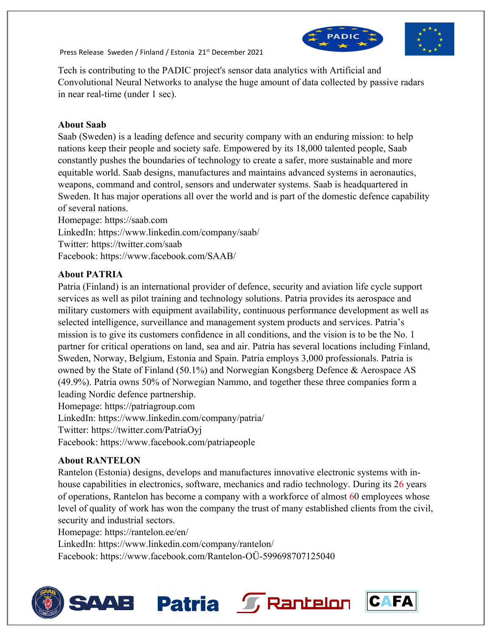Press Release Sweden / Finland / Estonia 21st December 2021



Tech is contributing to the PADIC project's sensor data analytics with Artificial and Convolutional Neural Networks to analyse the huge amount of data collected by passive radars in near real-time (under 1 sec).

#### **About Saab**

Saab (Sweden) is a leading defence and security company with an enduring mission: to help nations keep their people and society safe. Empowered by its 18,000 talented people, Saab constantly pushes the boundaries of technology to create a safer, more sustainable and more equitable world. Saab designs, manufactures and maintains advanced systems in aeronautics, weapons, command and control, sensors and underwater systems. Saab is headquartered in Sweden. It has major operations all over the world and is part of the domestic defence capability of several nations.

Homepage: https://saab.com LinkedIn: https://www.linkedin.com/company/saab/ Twitter: https://twitter.com/saab Facebook: https://www.facebook.com/SAAB/

### **About PATRIA**

Patria (Finland) is an international provider of defence, security and aviation life cycle support services as well as pilot training and technology solutions. Patria provides its aerospace and military customers with equipment availability, continuous performance development as well as selected intelligence, surveillance and management system products and services. Patria's mission is to give its customers confidence in all conditions, and the vision is to be the No. 1 partner for critical operations on land, sea and air. Patria has several locations including Finland, Sweden, Norway, Belgium, Estonia and Spain. Patria employs 3,000 professionals. Patria is owned by the State of Finland (50.1%) and Norwegian Kongsberg Defence & Aerospace AS (49.9%). Patria owns 50% of Norwegian Nammo, and together these three companies form a leading Nordic defence partnership. Homepage: [https://patriagroup.com](https://patriagroup.com/)

LinkedIn: https://www.linkedin.com/company/patria/

Twitter: https://twitter.com/PatriaOyj

Facebook: https://www.facebook.com/patriapeople

### **About RANTELON**

Rantelon (Estonia) designs, develops and manufactures innovative electronic systems with inhouse capabilities in electronics, software, mechanics and radio technology. During its 26 years of operations, Rantelon has become a company with a workforce of almost 60 employees whose level of quality of work has won the company the trust of many established clients from the civil, security and industrial sectors.

Homepage: https://rantelon.ee/en/

LinkedIn: https://www.linkedin.com/company/rantelon/

Facebook: https://www.facebook.com/Rantelon-OÜ-599698707125040